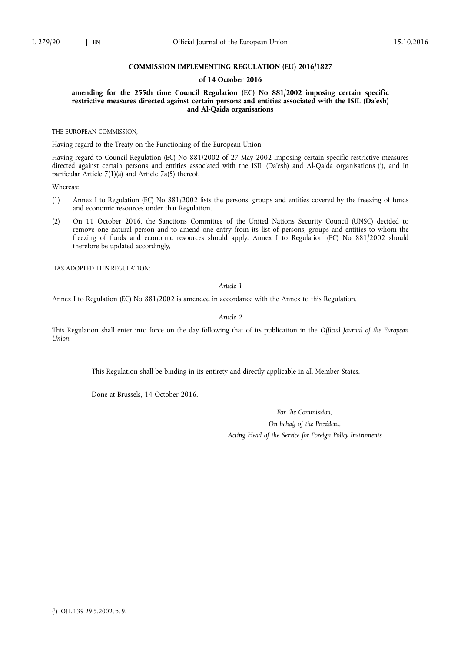### **COMMISSION IMPLEMENTING REGULATION (EU) 2016/1827**

#### **of 14 October 2016**

## **amending for the 255th time Council Regulation (EC) No 881/2002 imposing certain specific restrictive measures directed against certain persons and entities associated with the ISIL (Da'esh) and Al-Qaida organisations**

THE EUROPEAN COMMISSION,

Having regard to the Treaty on the Functioning of the European Union,

Having regard to Council Regulation (EC) No 881/2002 of 27 May 2002 imposing certain specific restrictive measures directed against certain persons and entities associated with the ISIL (Da'esh) and Al-Qaida organisations ( 1 ), and in particular Article 7(1)(a) and Article 7a(5) thereof,

Whereas:

- (1) Annex I to Regulation (EC) No 881/2002 lists the persons, groups and entities covered by the freezing of funds and economic resources under that Regulation.
- (2) On 11 October 2016, the Sanctions Committee of the United Nations Security Council (UNSC) decided to remove one natural person and to amend one entry from its list of persons, groups and entities to whom the freezing of funds and economic resources should apply. Annex I to Regulation (EC) No 881/2002 should therefore be updated accordingly,

HAS ADOPTED THIS REGULATION:

# *Article 1*

Annex I to Regulation (EC) No 881/2002 is amended in accordance with the Annex to this Regulation.

*Article 2* 

This Regulation shall enter into force on the day following that of its publication in the *Official Journal of the European Union*.

This Regulation shall be binding in its entirety and directly applicable in all Member States.

Done at Brussels, 14 October 2016.

*For the Commission, On behalf of the President, Acting Head of the Service for Foreign Policy Instruments* 

<sup>(</sup> 1 ) OJ L 139 29.5.2002, p. 9.